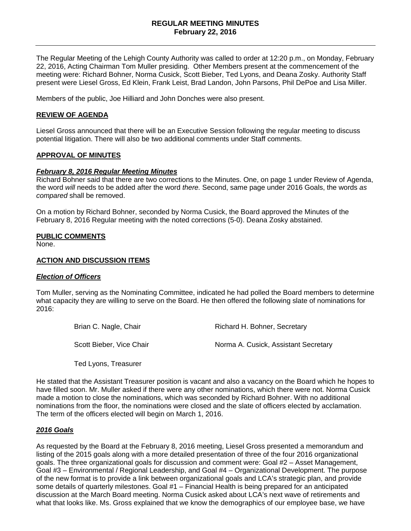## **REGULAR MEETING MINUTES February 22, 2016**

The Regular Meeting of the Lehigh County Authority was called to order at 12:20 p.m., on Monday, February 22, 2016, Acting Chairman Tom Muller presiding. Other Members present at the commencement of the meeting were: Richard Bohner, Norma Cusick, Scott Bieber, Ted Lyons, and Deana Zosky. Authority Staff present were Liesel Gross, Ed Klein, Frank Leist, Brad Landon, John Parsons, Phil DePoe and Lisa Miller.

Members of the public, Joe Hilliard and John Donches were also present.

### **REVIEW OF AGENDA**

Liesel Gross announced that there will be an Executive Session following the regular meeting to discuss potential litigation. There will also be two additional comments under Staff comments.

#### **APPROVAL OF MINUTES**

#### *February 8, 2016 Regular Meeting Minutes*

Richard Bohner said that there are two corrections to the Minutes. One, on page 1 under Review of Agenda, the word *will* needs to be added after the word *there.* Second, same page under 2016 Goals, the words *as compared* shall be removed.

On a motion by Richard Bohner, seconded by Norma Cusick, the Board approved the Minutes of the February 8, 2016 Regular meeting with the noted corrections (5-0). Deana Zosky abstained.

#### **PUBLIC COMMENTS**

None.

#### **ACTION AND DISCUSSION ITEMS**

#### *Election of Officers*

Tom Muller, serving as the Nominating Committee, indicated he had polled the Board members to determine what capacity they are willing to serve on the Board. He then offered the following slate of nominations for 2016:

| Brian C. Nagle, Chair    | Richard H. Bohner, Secretary         |
|--------------------------|--------------------------------------|
| Scott Bieber, Vice Chair | Norma A. Cusick, Assistant Secretary |

Ted Lyons, Treasurer

He stated that the Assistant Treasurer position is vacant and also a vacancy on the Board which he hopes to have filled soon. Mr. Muller asked if there were any other nominations, which there were not. Norma Cusick made a motion to close the nominations, which was seconded by Richard Bohner. With no additional nominations from the floor, the nominations were closed and the slate of officers elected by acclamation. The term of the officers elected will begin on March 1, 2016.

## *2016 Goals*

As requested by the Board at the February 8, 2016 meeting, Liesel Gross presented a memorandum and listing of the 2015 goals along with a more detailed presentation of three of the four 2016 organizational goals. The three organizational goals for discussion and comment were: Goal #2 – Asset Management, Goal #3 – Environmental / Regional Leadership, and Goal #4 – Organizational Development. The purpose of the new format is to provide a link between organizational goals and LCA's strategic plan, and provide some details of quarterly milestones. Goal #1 – Financial Health is being prepared for an anticipated discussion at the March Board meeting. Norma Cusick asked about LCA's next wave of retirements and what that looks like. Ms. Gross explained that we know the demographics of our employee base, we have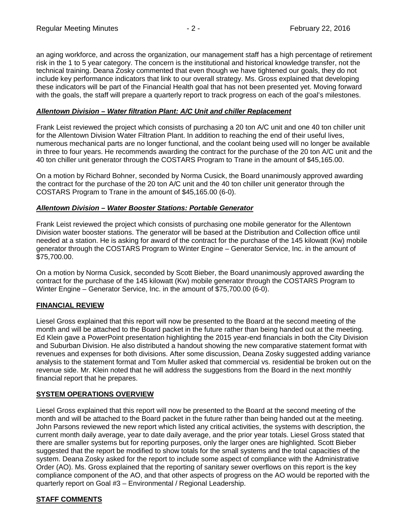an aging workforce, and across the organization, our management staff has a high percentage of retirement risk in the 1 to 5 year category. The concern is the institutional and historical knowledge transfer, not the technical training. Deana Zosky commented that even though we have tightened our goals, they do not include key performance indicators that link to our overall strategy. Ms. Gross explained that developing these indicators will be part of the Financial Health goal that has not been presented yet. Moving forward with the goals, the staff will prepare a quarterly report to track progress on each of the goal's milestones.

# *Allentown Division – Water filtration Plant: A/C Unit and chiller Replacement*

Frank Leist reviewed the project which consists of purchasing a 20 ton A/C unit and one 40 ton chiller unit for the Allentown Division Water Filtration Plant. In addition to reaching the end of their useful lives, numerous mechanical parts are no longer functional, and the coolant being used will no longer be available in three to four years. He recommends awarding the contract for the purchase of the 20 ton A/C unit and the 40 ton chiller unit generator through the COSTARS Program to Trane in the amount of \$45,165.00.

On a motion by Richard Bohner, seconded by Norma Cusick, the Board unanimously approved awarding the contract for the purchase of the 20 ton A/C unit and the 40 ton chiller unit generator through the COSTARS Program to Trane in the amount of \$45,165.00 (6-0).

## *Allentown Division – Water Booster Stations: Portable Generator*

Frank Leist reviewed the project which consists of purchasing one mobile generator for the Allentown Division water booster stations. The generator will be based at the Distribution and Collection office until needed at a station. He is asking for award of the contract for the purchase of the 145 kilowatt (Kw) mobile generator through the COSTARS Program to Winter Engine – Generator Service, Inc. in the amount of \$75,700.00.

On a motion by Norma Cusick, seconded by Scott Bieber, the Board unanimously approved awarding the contract for the purchase of the 145 kilowatt (Kw) mobile generator through the COSTARS Program to Winter Engine – Generator Service, Inc. in the amount of \$75,700.00 (6-0).

# **FINANCIAL REVIEW**

Liesel Gross explained that this report will now be presented to the Board at the second meeting of the month and will be attached to the Board packet in the future rather than being handed out at the meeting. Ed Klein gave a PowerPoint presentation highlighting the 2015 year-end financials in both the City Division and Suburban Division. He also distributed a handout showing the new comparative statement format with revenues and expenses for both divisions. After some discussion, Deana Zosky suggested adding variance analysis to the statement format and Tom Muller asked that commercial vs. residential be broken out on the revenue side. Mr. Klein noted that he will address the suggestions from the Board in the next monthly financial report that he prepares.

# **SYSTEM OPERATIONS OVERVIEW**

Liesel Gross explained that this report will now be presented to the Board at the second meeting of the month and will be attached to the Board packet in the future rather than being handed out at the meeting. John Parsons reviewed the new report which listed any critical activities, the systems with description, the current month daily average, year to date daily average, and the prior year totals. Liesel Gross stated that there are smaller systems but for reporting purposes, only the larger ones are highlighted. Scott Bieber suggested that the report be modified to show totals for the small systems and the total capacities of the system. Deana Zosky asked for the report to include some aspect of compliance with the Administrative Order (AO). Ms. Gross explained that the reporting of sanitary sewer overflows on this report is the key compliance component of the AO, and that other aspects of progress on the AO would be reported with the quarterly report on Goal #3 – Environmental / Regional Leadership.

# **STAFF COMMENTS**